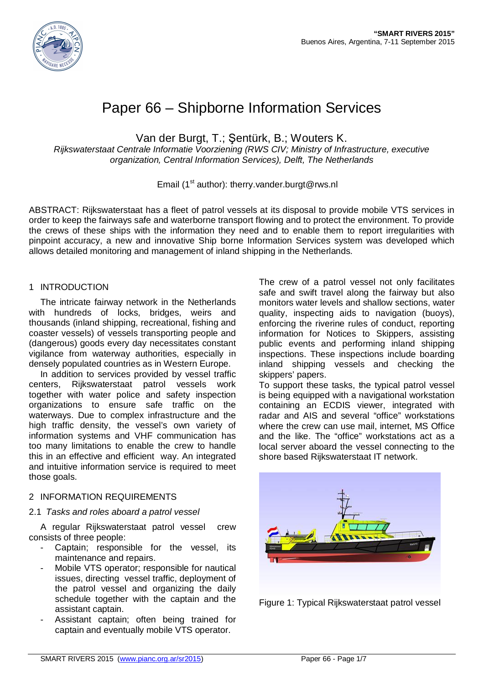

# Paper 66 – Shipborne Information Services

Van der Burgt, T.; Şentürk, B.; Wouters K.

*Rijkswaterstaat Centrale Informatie Voorziening (RWS CIV; Ministry of Infrastructure, executive organization, Central Information Services), Delft, The Netherlands*

## Email (1<sup>st</sup> author): therry.vander.burgt@rws.nl

ABSTRACT: Rijkswaterstaat has a fleet of patrol vessels at its disposal to provide mobile VTS services in order to keep the fairways safe and waterborne transport flowing and to protect the environment. To provide the crews of these ships with the information they need and to enable them to report irregularities with pinpoint accuracy, a new and innovative Ship borne Information Services system was developed which allows detailed monitoring and management of inland shipping in the Netherlands.

## 1 INTRODUCTION

The intricate fairway network in the Netherlands with hundreds of locks, bridges, weirs and thousands (inland shipping, recreational, fishing and coaster vessels) of vessels transporting people and (dangerous) goods every day necessitates constant vigilance from waterway authorities, especially in densely populated countries as in Western Europe.

In addition to services provided by vessel traffic centers, Rijkswaterstaat patrol vessels work together with water police and safety inspection organizations to ensure safe traffic on the waterways. Due to complex infrastructure and the high traffic density, the vessel's own variety of information systems and VHF communication has too many limitations to enable the crew to handle this in an effective and efficient way. An integrated and intuitive information service is required to meet those goals.

# 2 INFORMATION REQUIREMENTS

## 2.1 *Tasks and roles aboard a patrol vessel*

A regular Rijkswaterstaat patrol vessel crew consists of three people:

- Captain; responsible for the vessel, its maintenance and repairs.
- Mobile VTS operator; responsible for nautical issues, directing vessel traffic, deployment of the patrol vessel and organizing the daily schedule together with the captain and the assistant captain.
- Assistant captain; often being trained for captain and eventually mobile VTS operator.

The crew of a patrol vessel not only facilitates safe and swift travel along the fairway but also monitors water levels and shallow sections, water quality, inspecting aids to navigation (buoys), enforcing the riverine rules of conduct, reporting information for Notices to Skippers, assisting public events and performing inland shipping inspections. These inspections include boarding inland shipping vessels and checking the skippers' papers.

To support these tasks, the typical patrol vessel is being equipped with a navigational workstation containing an ECDIS viewer, integrated with radar and AIS and several "office" workstations where the crew can use mail, internet, MS Office and the like. The "office" workstations act as a local server aboard the vessel connecting to the shore based Rijkswaterstaat IT network.



Figure 1: Typical Rijkswaterstaat patrol vessel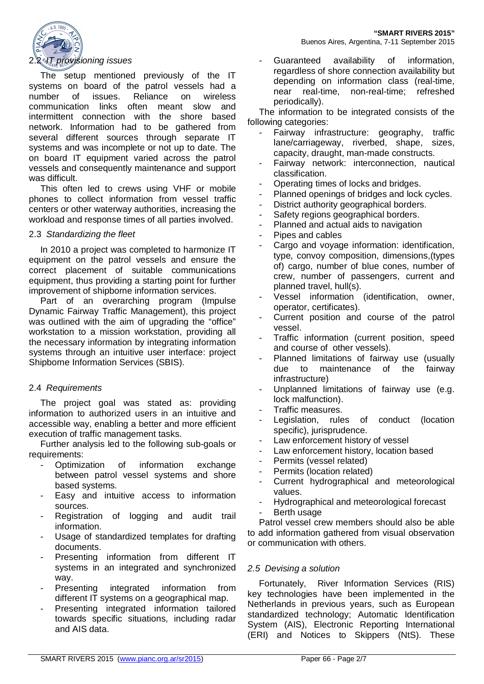

The setup mentioned previously of the IT systems on board of the patrol vessels had a number of issues. Reliance on wireless communication links often meant slow and intermittent connection with the shore based network. Information had to be gathered from several different sources through separate IT systems and was incomplete or not up to date. The on board IT equipment varied across the patrol vessels and consequently maintenance and support was difficult.

This often led to crews using VHF or mobile phones to collect information from vessel traffic centers or other waterway authorities, increasing the workload and response times of all parties involved.

#### 2.3 *Standardizing the fleet*

In 2010 a project was completed to harmonize IT equipment on the patrol vessels and ensure the correct placement of suitable communications equipment, thus providing a starting point for further improvement of shipborne information services.

Part of an overarching program (Impulse Dynamic Fairway Traffic Management), this project was outlined with the aim of upgrading the "office" workstation to a mission workstation, providing all the necessary information by integrating information systems through an intuitive user interface: project Shipborne Information Services (SBIS).

## 2.4 *Requirements*

The project goal was stated as: providing information to authorized users in an intuitive and accessible way, enabling a better and more efficient execution of traffic management tasks.

Further analysis led to the following sub-goals or requirements:

- Optimization of information exchange between patrol vessel systems and shore based systems.
- Easy and intuitive access to information sources.
- Registration of logging and audit trail information.
- Usage of standardized templates for drafting documents.
- Presenting information from different IT systems in an integrated and synchronized way.
- Presenting integrated information from different IT systems on a geographical map.
- Presenting integrated information tailored towards specific situations, including radar and AIS data.

Guaranteed availability of information, regardless of shore connection availability but depending on information class (real-time, near real-time, non-real-time; refreshed periodically).

The information to be integrated consists of the following categories:

- Fairway infrastructure: geography, traffic lane/carriageway, riverbed, shape, sizes, capacity, draught, man-made constructs.
- Fairway network: interconnection, nautical classification.
- Operating times of locks and bridges.
- Planned openings of bridges and lock cycles.
- District authority geographical borders.
- Safety regions geographical borders.
- Planned and actual aids to navigation
- Pipes and cables
- Cargo and voyage information: identification, type, convoy composition, dimensions,(types of) cargo, number of blue cones, number of crew, number of passengers, current and planned travel, hull(s).
- Vessel information (identification, owner, operator, certificates).
- Current position and course of the patrol vessel.
- Traffic information (current position, speed and course of other vessels).
- Planned limitations of fairway use (usually due to maintenance of the fairway infrastructure)
- Unplanned limitations of fairway use (e.g. lock malfunction).
- Traffic measures.
- Legislation, rules of conduct (location specific), jurisprudence.
- Law enforcement history of vessel
- Law enforcement history, location based
- Permits (vessel related)
- Permits (location related)
- Current hydrographical and meteorological values.
- Hydrographical and meteorological forecast
- Berth usage

Patrol vessel crew members should also be able to add information gathered from visual observation or communication with others.

## *2.5 Devising a solution*

Fortunately, River Information Services (RIS) key technologies have been implemented in the Netherlands in previous years, such as European standardized technology; Automatic Identification System (AIS), Electronic Reporting International (ERI) and Notices to Skippers (NtS). These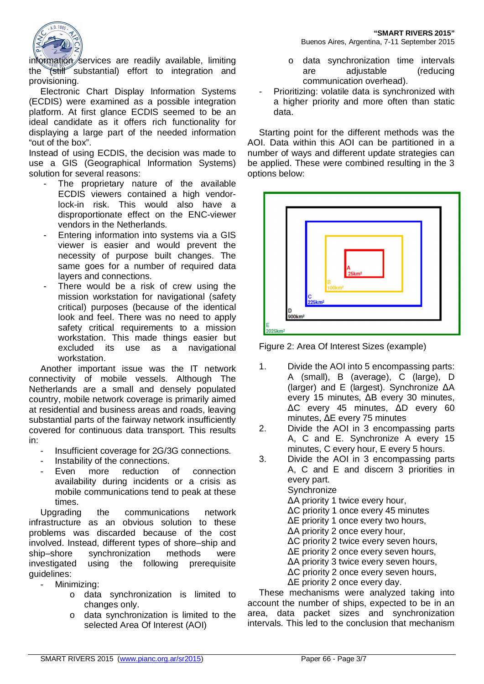

information services are readily available, limiting the  $\sqrt{\frac{1}{10}}$  substantial) effort to integration and provisioning.

Electronic Chart Display Information Systems (ECDIS) were examined as a possible integration platform. At first glance ECDIS seemed to be an ideal candidate as it offers rich functionality for displaying a large part of the needed information "out of the box".

Instead of using ECDIS, the decision was made to use a GIS (Geographical Information Systems) solution for several reasons:

- The proprietary nature of the available ECDIS viewers contained a high vendorlock-in risk. This would also have a disproportionate effect on the ENC-viewer vendors in the Netherlands.
- Entering information into systems via a GIS viewer is easier and would prevent the necessity of purpose built changes. The same goes for a number of required data layers and connections.
- There would be a risk of crew using the mission workstation for navigational (safety critical) purposes (because of the identical look and feel. There was no need to apply safety critical requirements to a mission workstation. This made things easier but excluded its use as a navigational workstation.

Another important issue was the IT network connectivity of mobile vessels. Although The Netherlands are a small and densely populated country, mobile network coverage is primarily aimed at residential and business areas and roads, leaving substantial parts of the fairway network insufficiently covered for continuous data transport. This results in:

- Insufficient coverage for 2G/3G connections.
- Instability of the connections.
- Even more reduction of connection availability during incidents or a crisis as mobile communications tend to peak at these times.

Upgrading the communications network infrastructure as an obvious solution to these problems was discarded because of the cost involved. Instead, different types of shore–ship and ship–shore synchronization methods were investigated using the following prerequisite guidelines:

- Minimizing:
	- o data synchronization is limited to changes only.
	- o data synchronization is limited to the selected Area Of Interest (AOI)

Buenos Aires, Argentina, 7-11 September 2015

- o data synchronization time intervals are adjustable (reducing communication overhead).
- Prioritizing: volatile data is synchronized with a higher priority and more often than static data.

Starting point for the different methods was the AOI. Data within this AOI can be partitioned in a number of ways and different update strategies can be applied. These were combined resulting in the 3 options below:



Figure 2: Area Of Interest Sizes (example)

- 1. Divide the AOI into 5 encompassing parts: A (small), B (average), C (large), D (larger) and E (largest). Synchronize ΔA every 15 minutes, ΔB every 30 minutes, ΔC every 45 minutes, ΔD every 60 minutes, ΔE every 75 minutes
- 2. Divide the AOI in 3 encompassing parts A, C and E. Synchronize A every 15 minutes, C every hour, E every 5 hours.
- 3. Divide the AOI in 3 encompassing parts A, C and E and discern 3 priorities in every part. **Synchronize** ΔA priority 1 twice every hour, ΔC priority 1 once every 45 minutes ΔE priority 1 once every two hours, ΔA priority 2 once every hour, ΔC priority 2 twice every seven hours, ΔE priority 2 once every seven hours, ΔA priority 3 twice every seven hours, ΔC priority 2 once every seven hours, ΔE priority 2 once every day.

These mechanisms were analyzed taking into account the number of ships, expected to be in an area, data packet sizes and synchronization intervals. This led to the conclusion that mechanism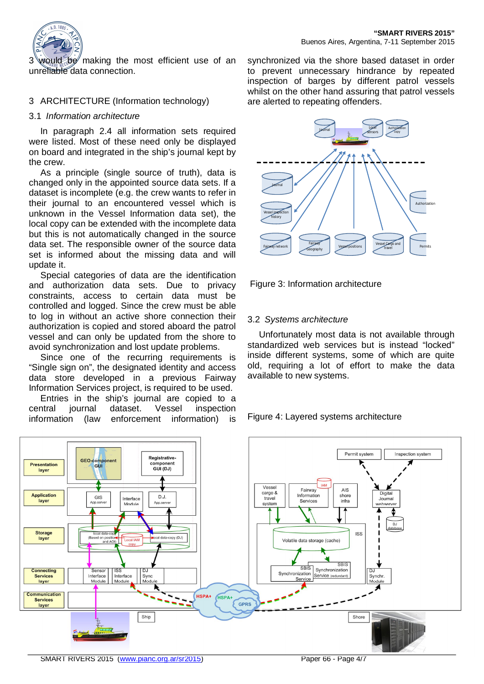

3 would be making the most efficient use of an unreliable data connection.

## 3 ARCHITECTURE (Information technology)

## 3.1 *Information architecture*

In paragraph 2.4 all information sets required were listed. Most of these need only be displayed on board and integrated in the ship's journal kept by the crew.

As a principle (single source of truth), data is changed only in the appointed source data sets. If a dataset is incomplete (e.g. the crew wants to refer in their journal to an encountered vessel which is unknown in the Vessel Information data set), the local copy can be extended with the incomplete data but this is not automatically changed in the source data set. The responsible owner of the source data set is informed about the missing data and will update it.

Special categories of data are the identification and authorization data sets. Due to privacy constraints, access to certain data must be controlled and logged. Since the crew must be able to log in without an active shore connection their authorization is copied and stored aboard the patrol vessel and can only be updated from the shore to avoid synchronization and lost update problems.

Since one of the recurring requirements is "Single sign on", the designated identity and access data store developed in a previous Fairway Information Services project, is required to be used.

Entries in the ship's journal are copied to a central journal dataset. Vessel inspection information (law enforcement information) is synchronized via the shore based dataset in order to prevent unnecessary hindrance by repeated inspection of barges by different patrol vessels whilst on the other hand assuring that patrol vessels are alerted to repeating offenders.



Figure 3: Information architecture

# 3.2 *Systems architecture*

Unfortunately most data is not available through standardized web services but is instead "locked" inside different systems, some of which are quite old, requiring a lot of effort to make the data available to new systems.

## Figure 4: Layered systems architecture

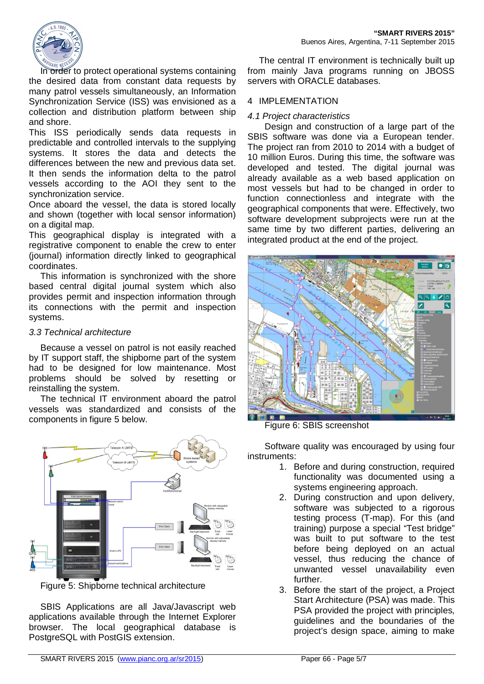

In order to protect operational systems containing the desired data from constant data requests by many patrol vessels simultaneously, an Information Synchronization Service (ISS) was envisioned as a collection and distribution platform between ship and shore.

This ISS periodically sends data requests in predictable and controlled intervals to the supplying systems. It stores the data and detects the differences between the new and previous data set. It then sends the information delta to the patrol vessels according to the AOI they sent to the synchronization service.

Once aboard the vessel, the data is stored locally and shown (together with local sensor information) on a digital map.

This geographical display is integrated with a registrative component to enable the crew to enter (journal) information directly linked to geographical coordinates.

This information is synchronized with the shore based central digital journal system which also provides permit and inspection information through its connections with the permit and inspection systems.

## *3.3 Technical architecture*

Because a vessel on patrol is not easily reached by IT support staff, the shipborne part of the system had to be designed for low maintenance. Most problems should be solved by resetting or reinstalling the system.

The technical IT environment aboard the patrol vessels was standardized and consists of the components in figure 5 below.



Figure 5: Shipborne technical architecture

SBIS Applications are all Java/Javascript web applications available through the Internet Explorer browser. The local geographical database is PostgreSQL with PostGIS extension.

The central IT environment is technically built up from mainly Java programs running on JBOSS servers with ORACLE databases.

## 4 IMPLEMENTATION

## *4.1 Project characteristics*

Design and construction of a large part of the SBIS software was done via a European tender. The project ran from 2010 to 2014 with a budget of 10 million Euros. During this time, the software was developed and tested. The digital journal was already available as a web based application on most vessels but had to be changed in order to function connectionless and integrate with the geographical components that were. Effectively, two software development subprojects were run at the same time by two different parties, delivering an integrated product at the end of the project.



Figure 6: SBIS screenshot

Software quality was encouraged by using four instruments:

- 1. Before and during construction, required functionality was documented using a systems engineering approach.
- 2. During construction and upon delivery, software was subjected to a rigorous testing process (T-map). For this (and training) purpose a special "Test bridge" was built to put software to the test before being deployed on an actual vessel, thus reducing the chance of unwanted vessel unavailability even further.
- 3. Before the start of the project, a Project Start Architecture (PSA) was made. This PSA provided the project with principles, guidelines and the boundaries of the project's design space, aiming to make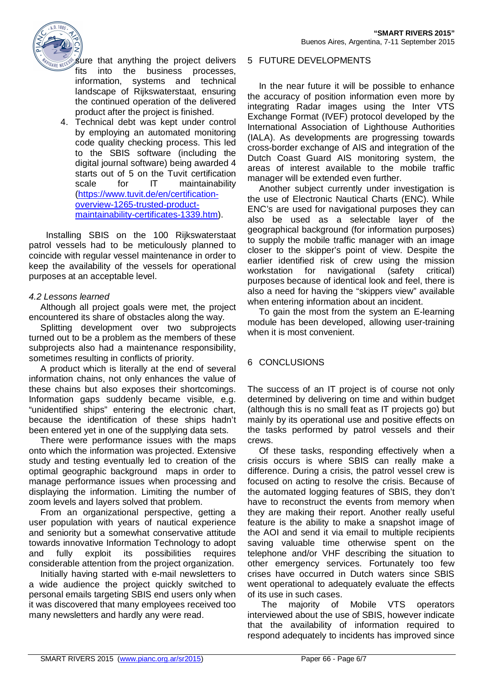



sure that anything the project delivers fits into the business processes, information, systems and technical landscape of Rijkswaterstaat, ensuring the continued operation of the delivered product after the project is finished.

4. Technical debt was kept under control by employing an automated monitoring code quality checking process. This led to the SBIS software (including the digital journal software) being awarded 4 starts out of 5 on the Tuvit certification scale for IT maintainability (https://www.tuvit.de/en/certificationoverview-1265-trusted-productmaintainability-certificates-1339.htm).

Installing SBIS on the 100 Rijkswaterstaat patrol vessels had to be meticulously planned to coincide with regular vessel maintenance in order to keep the availability of the vessels for operational purposes at an acceptable level.

## *4.2 Lessons learned*

Although all project goals were met, the project encountered its share of obstacles along the way.

Splitting development over two subprojects turned out to be a problem as the members of these subprojects also had a maintenance responsibility, sometimes resulting in conflicts of priority.

A product which is literally at the end of several information chains, not only enhances the value of these chains but also exposes their shortcomings. Information gaps suddenly became visible, e.g. "unidentified ships" entering the electronic chart, because the identification of these ships hadn't been entered yet in one of the supplying data sets.

There were performance issues with the maps onto which the information was projected. Extensive study and testing eventually led to creation of the optimal geographic background maps in order to manage performance issues when processing and displaying the information. Limiting the number of zoom levels and layers solved that problem.

From an organizational perspective, getting a user population with years of nautical experience and seniority but a somewhat conservative attitude towards innovative Information Technology to adopt and fully exploit its possibilities requires considerable attention from the project organization.

Initially having started with e-mail newsletters to a wide audience the project quickly switched to personal emails targeting SBIS end users only when it was discovered that many employees received too many newsletters and hardly any were read.

#### 5 FUTURE DEVELOPMENTS

In the near future it will be possible to enhance the accuracy of position information even more by integrating Radar images using the Inter VTS Exchange Format (IVEF) protocol developed by the International Association of Lighthouse Authorities (IALA). As developments are progressing towards cross-border exchange of AIS and integration of the Dutch Coast Guard AIS monitoring system, the areas of interest available to the mobile traffic manager will be extended even further.

Another subject currently under investigation is the use of Electronic Nautical Charts (ENC). While ENC's are used for navigational purposes they can also be used as a selectable layer of the geographical background (for information purposes) to supply the mobile traffic manager with an image closer to the skipper's point of view. Despite the earlier identified risk of crew using the mission workstation for navigational (safety critical) purposes because of identical look and feel, there is also a need for having the "skippers view" available when entering information about an incident.

To gain the most from the system an E-learning module has been developed, allowing user-training when it is most convenient.

# 6 CONCLUSIONS

The success of an IT project is of course not only determined by delivering on time and within budget (although this is no small feat as IT projects go) but mainly by its operational use and positive effects on the tasks performed by patrol vessels and their crews.

Of these tasks, responding effectively when a crisis occurs is where SBIS can really make a difference. During a crisis, the patrol vessel crew is focused on acting to resolve the crisis. Because of the automated logging features of SBIS, they don't have to reconstruct the events from memory when they are making their report. Another really useful feature is the ability to make a snapshot image of the AOI and send it via email to multiple recipients saving valuable time otherwise spent on the telephone and/or VHF describing the situation to other emergency services. Fortunately too few crises have occurred in Dutch waters since SBIS went operational to adequately evaluate the effects of its use in such cases.

 The majority of Mobile VTS operators interviewed about the use of SBIS, however indicate that the availability of information required to respond adequately to incidents has improved since